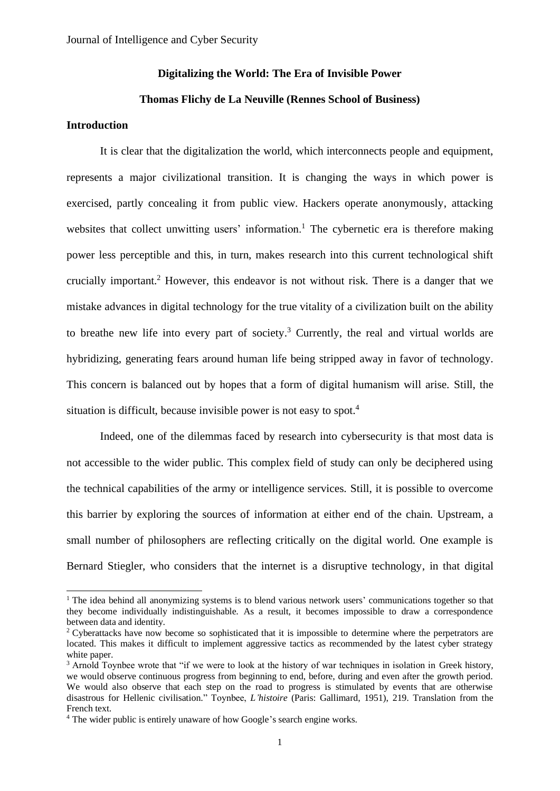### **Digitalizing the World: The Era of Invisible Power**

# **Thomas Flichy de La Neuville (Rennes School of Business)**

# **Introduction**

It is clear that the digitalization the world, which interconnects people and equipment, represents a major civilizational transition. It is changing the ways in which power is exercised, partly concealing it from public view. Hackers operate anonymously, attacking websites that collect unwitting users' information.<sup>1</sup> The cybernetic era is therefore making power less perceptible and this, in turn, makes research into this current technological shift crucially important.<sup>2</sup> However, this endeavor is not without risk. There is a danger that we mistake advances in digital technology for the true vitality of a civilization built on the ability to breathe new life into every part of society. <sup>3</sup> Currently, the real and virtual worlds are hybridizing, generating fears around human life being stripped away in favor of technology. This concern is balanced out by hopes that a form of digital humanism will arise. Still, the situation is difficult, because invisible power is not easy to spot.<sup>4</sup>

Indeed, one of the dilemmas faced by research into cybersecurity is that most data is not accessible to the wider public. This complex field of study can only be deciphered using the technical capabilities of the army or intelligence services. Still, it is possible to overcome this barrier by exploring the sources of information at either end of the chain. Upstream, a small number of philosophers are reflecting critically on the digital world. One example is Bernard Stiegler, who considers that the internet is a disruptive technology, in that digital

<sup>&</sup>lt;sup>1</sup> The idea behind all anonymizing systems is to blend various network users' communications together so that they become individually indistinguishable. As a result, it becomes impossible to draw a correspondence between data and identity.

<sup>&</sup>lt;sup>2</sup> Cyberattacks have now become so sophisticated that it is impossible to determine where the perpetrators are located. This makes it difficult to implement aggressive tactics as recommended by the latest cyber strategy white paper.

<sup>&</sup>lt;sup>3</sup> Arnold Toynbee wrote that "if we were to look at the history of war techniques in isolation in Greek history, we would observe continuous progress from beginning to end, before, during and even after the growth period. We would also observe that each step on the road to progress is stimulated by events that are otherwise disastrous for Hellenic civilisation." Toynbee, *L'histoire* (Paris: Gallimard, 1951), 219. Translation from the French text.

<sup>&</sup>lt;sup>4</sup> The wider public is entirely unaware of how Google's search engine works.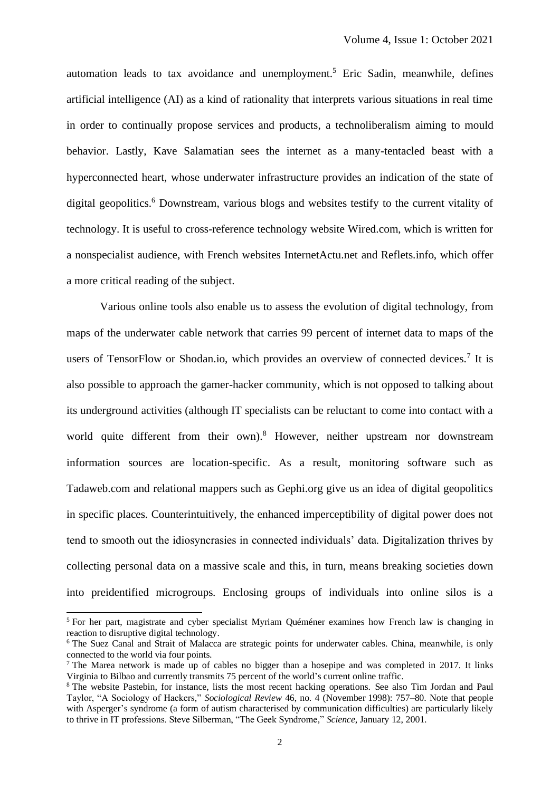automation leads to tax avoidance and unemployment.<sup>5</sup> Eric Sadin, meanwhile, defines artificial intelligence (AI) as a kind of rationality that interprets various situations in real time in order to continually propose services and products, a technoliberalism aiming to mould behavior. Lastly, Kave Salamatian sees the internet as a many-tentacled beast with a hyperconnected heart, whose underwater infrastructure provides an indication of the state of digital geopolitics. <sup>6</sup> Downstream, various blogs and websites testify to the current vitality of technology. It is useful to cross-reference technology website Wired.com, which is written for a nonspecialist audience, with French websites InternetActu.net and Reflets.info, which offer a more critical reading of the subject.

Various online tools also enable us to assess the evolution of digital technology, from maps of the underwater cable network that carries 99 percent of internet data to maps of the users of TensorFlow or Shodan.io, which provides an overview of connected devices.<sup>7</sup> It is also possible to approach the gamer-hacker community, which is not opposed to talking about its underground activities (although IT specialists can be reluctant to come into contact with a world quite different from their own).<sup>8</sup> However, neither upstream nor downstream information sources are location-specific. As a result, monitoring software such as Tadaweb.com and relational mappers such as Gephi.org give us an idea of digital geopolitics in specific places. Counterintuitively, the enhanced imperceptibility of digital power does not tend to smooth out the idiosyncrasies in connected individuals' data. Digitalization thrives by collecting personal data on a massive scale and this, in turn, means breaking societies down into preidentified microgroups. Enclosing groups of individuals into online silos is a

<sup>5</sup> For her part, magistrate and cyber specialist Myriam Quéméner examines how French law is changing in reaction to disruptive digital technology.

<sup>&</sup>lt;sup>6</sup> The Suez Canal and Strait of Malacca are strategic points for underwater cables. China, meanwhile, is only connected to the world via four points.

<sup>&</sup>lt;sup>7</sup> The Marea network is made up of cables no bigger than a hosepipe and was completed in 2017. It links Virginia to Bilbao and currently transmits 75 percent of the world's current online traffic.

<sup>8</sup> The website Pastebin, for instance, lists the most recent hacking operations. See also Tim Jordan and Paul Taylor, "A Sociology of Hackers," *Sociological Review* 46, no. 4 (November 1998): 757–80. Note that people with Asperger's syndrome (a form of autism characterised by communication difficulties) are particularly likely to thrive in IT professions. Steve Silberman, "The Geek Syndrome," *Science*, January 12, 2001.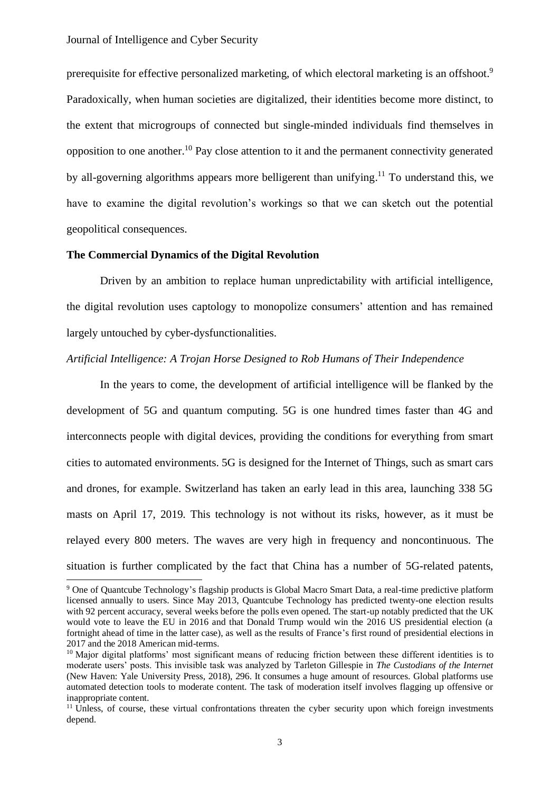prerequisite for effective personalized marketing, of which electoral marketing is an offshoot.<sup>9</sup> Paradoxically, when human societies are digitalized, their identities become more distinct, to the extent that microgroups of connected but single-minded individuals find themselves in opposition to one another.<sup>10</sup> Pay close attention to it and the permanent connectivity generated by all-governing algorithms appears more belligerent than unifying.<sup>11</sup> To understand this, we have to examine the digital revolution's workings so that we can sketch out the potential geopolitical consequences.

# **The Commercial Dynamics of the Digital Revolution**

Driven by an ambition to replace human unpredictability with artificial intelligence, the digital revolution uses captology to monopolize consumers' attention and has remained largely untouched by cyber-dysfunctionalities.

# *Artificial Intelligence: A Trojan Horse Designed to Rob Humans of Their Independence*

In the years to come, the development of artificial intelligence will be flanked by the development of 5G and quantum computing. 5G is one hundred times faster than 4G and interconnects people with digital devices, providing the conditions for everything from smart cities to automated environments. 5G is designed for the Internet of Things, such as smart cars and drones, for example. Switzerland has taken an early lead in this area, launching 338 5G masts on April 17, 2019. This technology is not without its risks, however, as it must be relayed every 800 meters. The waves are very high in frequency and noncontinuous. The situation is further complicated by the fact that China has a number of 5G-related patents,

<sup>9</sup> One of Quantcube Technology's flagship products is Global Macro Smart Data, a real-time predictive platform licensed annually to users. Since May 2013, Quantcube Technology has predicted twenty-one election results with 92 percent accuracy, several weeks before the polls even opened. The start-up notably predicted that the UK would vote to leave the EU in 2016 and that Donald Trump would win the 2016 US presidential election (a fortnight ahead of time in the latter case), as well as the results of France's first round of presidential elections in 2017 and the 2018 American mid-terms.

<sup>&</sup>lt;sup>10</sup> Major digital platforms' most significant means of reducing friction between these different identities is to moderate users' posts. This invisible task was analyzed by Tarleton Gillespie in *The Custodians of the Internet*  (New Haven: Yale University Press, 2018), 296. It consumes a huge amount of resources. Global platforms use automated detection tools to moderate content. The task of moderation itself involves flagging up offensive or inappropriate content.

<sup>&</sup>lt;sup>11</sup> Unless, of course, these virtual confrontations threaten the cyber security upon which foreign investments depend.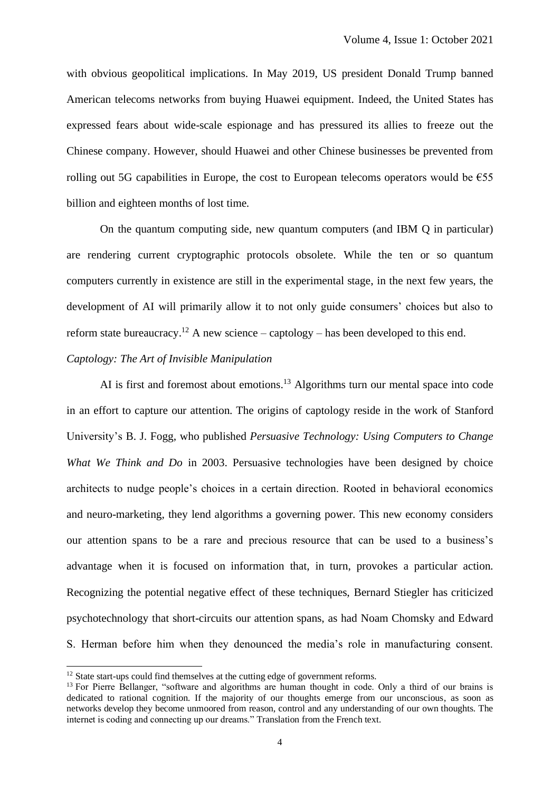with obvious geopolitical implications. In May 2019, US president Donald Trump banned American telecoms networks from buying Huawei equipment. Indeed, the United States has expressed fears about wide-scale espionage and has pressured its allies to freeze out the Chinese company. However, should Huawei and other Chinese businesses be prevented from rolling out 5G capabilities in Europe, the cost to European telecoms operators would be  $\epsilon$ 55 billion and eighteen months of lost time.

On the quantum computing side, new quantum computers (and IBM Q in particular) are rendering current cryptographic protocols obsolete. While the ten or so quantum computers currently in existence are still in the experimental stage, in the next few years, the development of AI will primarily allow it to not only guide consumers' choices but also to reform state bureaucracy.<sup>12</sup> A new science – captology – has been developed to this end.

# *Captology: The Art of Invisible Manipulation*

AI is first and foremost about emotions.<sup>13</sup> Algorithms turn our mental space into code in an effort to capture our attention. The origins of captology reside in the work of Stanford University's B. J. Fogg, who published *Persuasive Technology: Using Computers to Change What We Think and Do* in 2003. Persuasive technologies have been designed by choice architects to nudge people's choices in a certain direction. Rooted in behavioral economics and neuro-marketing, they lend algorithms a governing power. This new economy considers our attention spans to be a rare and precious resource that can be used to a business's advantage when it is focused on information that, in turn, provokes a particular action. Recognizing the potential negative effect of these techniques, Bernard Stiegler has criticized psychotechnology that short-circuits our attention spans, as had Noam Chomsky and Edward S. Herman before him when they denounced the media's role in manufacturing consent.

<sup>&</sup>lt;sup>12</sup> State start-ups could find themselves at the cutting edge of government reforms.

<sup>&</sup>lt;sup>13</sup> For Pierre Bellanger, "software and algorithms are human thought in code. Only a third of our brains is dedicated to rational cognition. If the majority of our thoughts emerge from our unconscious, as soon as networks develop they become unmoored from reason, control and any understanding of our own thoughts. The internet is coding and connecting up our dreams." Translation from the French text.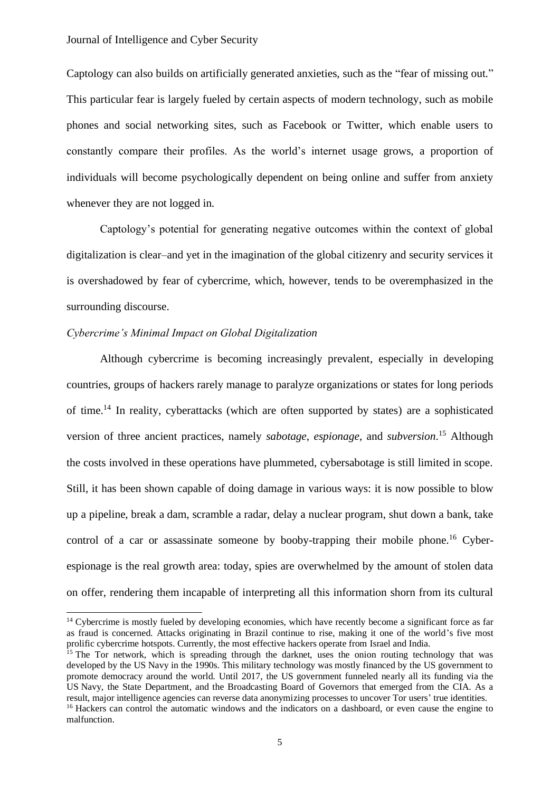Captology can also builds on artificially generated anxieties, such as the "fear of missing out." This particular fear is largely fueled by certain aspects of modern technology, such as mobile phones and social networking sites, such as Facebook or Twitter, which enable users to constantly compare their profiles. As the world's internet usage grows, a proportion of individuals will become psychologically dependent on being online and suffer from anxiety whenever they are not logged in.

Captology's potential for generating negative outcomes within the context of global digitalization is clear–and yet in the imagination of the global citizenry and security services it is overshadowed by fear of cybercrime, which, however, tends to be overemphasized in the surrounding discourse.

### *Cybercrime's Minimal Impact on Global Digitalization*

Although cybercrime is becoming increasingly prevalent, especially in developing countries, groups of hackers rarely manage to paralyze organizations or states for long periods of time.<sup>14</sup> In reality, cyberattacks (which are often supported by states) are a sophisticated version of three ancient practices, namely *sabotage*, *espionage*, and *subversion*. <sup>15</sup> Although the costs involved in these operations have plummeted, cybersabotage is still limited in scope. Still, it has been shown capable of doing damage in various ways: it is now possible to blow up a pipeline, break a dam, scramble a radar, delay a nuclear program, shut down a bank, take control of a car or assassinate someone by booby-trapping their mobile phone.<sup>16</sup> Cyberespionage is the real growth area: today, spies are overwhelmed by the amount of stolen data on offer, rendering them incapable of interpreting all this information shorn from its cultural

<sup>&</sup>lt;sup>14</sup> Cybercrime is mostly fueled by developing economies, which have recently become a significant force as far as fraud is concerned. Attacks originating in Brazil continue to rise, making it one of the world's five most prolific cybercrime hotspots. Currently, the most effective hackers operate from Israel and India.

<sup>&</sup>lt;sup>15</sup> The Tor network, which is spreading through the darknet, uses the onion routing technology that was developed by the US Navy in the 1990s. This military technology was mostly financed by the US government to promote democracy around the world. Until 2017, the US government funneled nearly all its funding via the US Navy, the State Department, and the Broadcasting Board of Governors that emerged from the CIA. As a result, major intelligence agencies can reverse data anonymizing processes to uncover Tor users' true identities.

<sup>&</sup>lt;sup>16</sup> Hackers can control the automatic windows and the indicators on a dashboard, or even cause the engine to malfunction.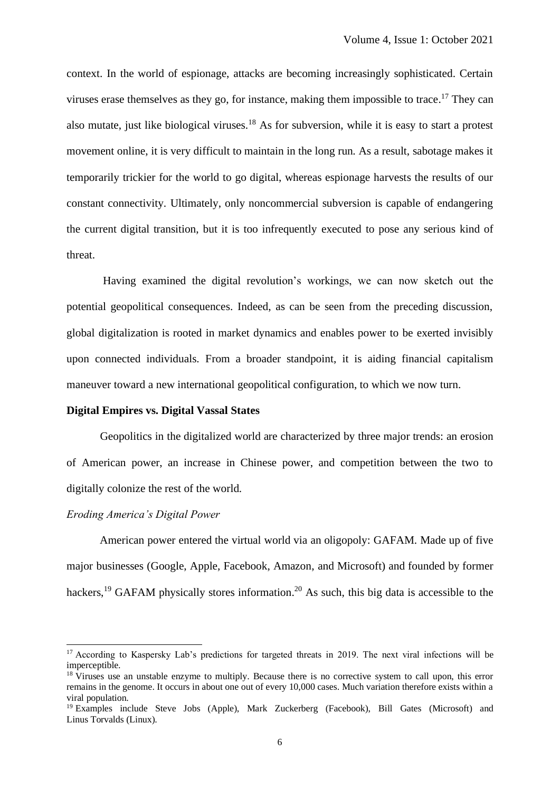context. In the world of espionage, attacks are becoming increasingly sophisticated. Certain viruses erase themselves as they go, for instance, making them impossible to trace.<sup>17</sup> They can also mutate, just like biological viruses.<sup>18</sup> As for subversion, while it is easy to start a protest movement online, it is very difficult to maintain in the long run. As a result, sabotage makes it temporarily trickier for the world to go digital, whereas espionage harvests the results of our constant connectivity. Ultimately, only noncommercial subversion is capable of endangering the current digital transition, but it is too infrequently executed to pose any serious kind of threat.

Having examined the digital revolution's workings, we can now sketch out the potential geopolitical consequences. Indeed, as can be seen from the preceding discussion, global digitalization is rooted in market dynamics and enables power to be exerted invisibly upon connected individuals. From a broader standpoint, it is aiding financial capitalism maneuver toward a new international geopolitical configuration, to which we now turn.

#### **Digital Empires vs. Digital Vassal States**

Geopolitics in the digitalized world are characterized by three major trends: an erosion of American power, an increase in Chinese power, and competition between the two to digitally colonize the rest of the world.

#### *Eroding America's Digital Power*

American power entered the virtual world via an oligopoly: GAFAM. Made up of five major businesses (Google, Apple, Facebook, Amazon, and Microsoft) and founded by former hackers,<sup>19</sup> GAFAM physically stores information.<sup>20</sup> As such, this big data is accessible to the

<sup>&</sup>lt;sup>17</sup> According to Kaspersky Lab's predictions for targeted threats in 2019. The next viral infections will be imperceptible.

<sup>&</sup>lt;sup>18</sup> Viruses use an unstable enzyme to multiply. Because there is no corrective system to call upon, this error remains in the genome. It occurs in about one out of every 10,000 cases. Much variation therefore exists within a viral population.

<sup>&</sup>lt;sup>19</sup> Examples include Steve Jobs (Apple), Mark Zuckerberg (Facebook), Bill Gates (Microsoft) and Linus Torvalds (Linux).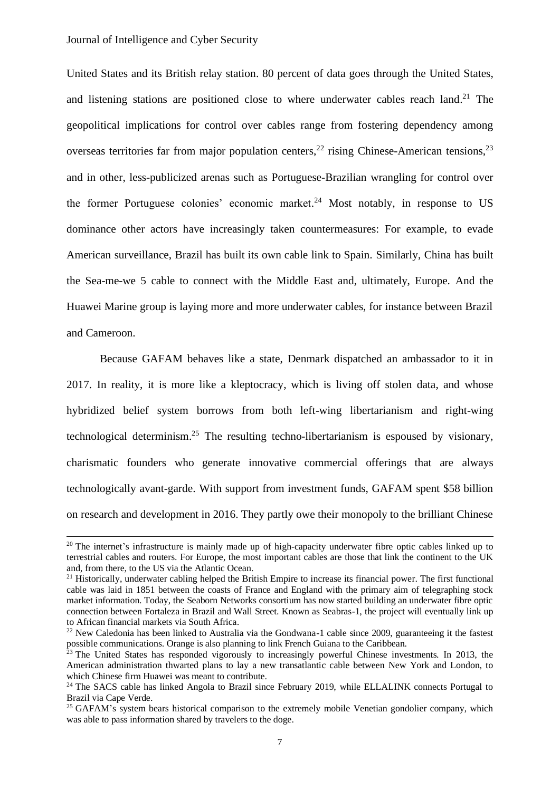United States and its British relay station. 80 percent of data goes through the United States, and listening stations are positioned close to where underwater cables reach land.<sup>21</sup> The geopolitical implications for control over cables range from fostering dependency among overseas territories far from major population centers,  $^{22}$  rising Chinese-American tensions,  $^{23}$ and in other, less-publicized arenas such as Portuguese-Brazilian wrangling for control over the former Portuguese colonies' economic market.<sup>24</sup> Most notably, in response to US dominance other actors have increasingly taken countermeasures: For example, to evade American surveillance, Brazil has built its own cable link to Spain. Similarly, China has built the Sea-me-we 5 cable to connect with the Middle East and, ultimately, Europe. And the Huawei Marine group is laying more and more underwater cables, for instance between Brazil and Cameroon.

Because GAFAM behaves like a state, Denmark dispatched an ambassador to it in 2017. In reality, it is more like a kleptocracy, which is living off stolen data, and whose hybridized belief system borrows from both left-wing libertarianism and right-wing technological determinism. <sup>25</sup> The resulting techno-libertarianism is espoused by visionary, charismatic founders who generate innovative commercial offerings that are always technologically avant-garde. With support from investment funds, GAFAM spent \$58 billion on research and development in 2016. They partly owe their monopoly to the brilliant Chinese

 $20$  The internet's infrastructure is mainly made up of high-capacity underwater fibre optic cables linked up to terrestrial cables and routers. For Europe, the most important cables are those that link the continent to the UK and, from there, to the US via the Atlantic Ocean.

 $21$  Historically, underwater cabling helped the British Empire to increase its financial power. The first functional cable was laid in 1851 between the coasts of France and England with the primary aim of telegraphing stock market information. Today, the Seaborn Networks consortium has now started building an underwater fibre optic connection between Fortaleza in Brazil and Wall Street. Known as Seabras-1, the project will eventually link up to African financial markets via South Africa.

 $22$  New Caledonia has been linked to Australia via the Gondwana-1 cable since 2009, guaranteeing it the fastest possible communications. Orange is also planning to link French Guiana to the Caribbean.

<sup>&</sup>lt;sup>23</sup> The United States has responded vigorously to increasingly powerful Chinese investments. In 2013, the American administration thwarted plans to lay a new transatlantic cable between New York and London, to which Chinese firm Huawei was meant to contribute.

<sup>&</sup>lt;sup>24</sup> The SACS cable has linked Angola to Brazil since February 2019, while ELLALINK connects Portugal to Brazil via Cape Verde.

<sup>&</sup>lt;sup>25</sup> GAFAM's system bears historical comparison to the extremely mobile Venetian gondolier company, which was able to pass information shared by travelers to the doge.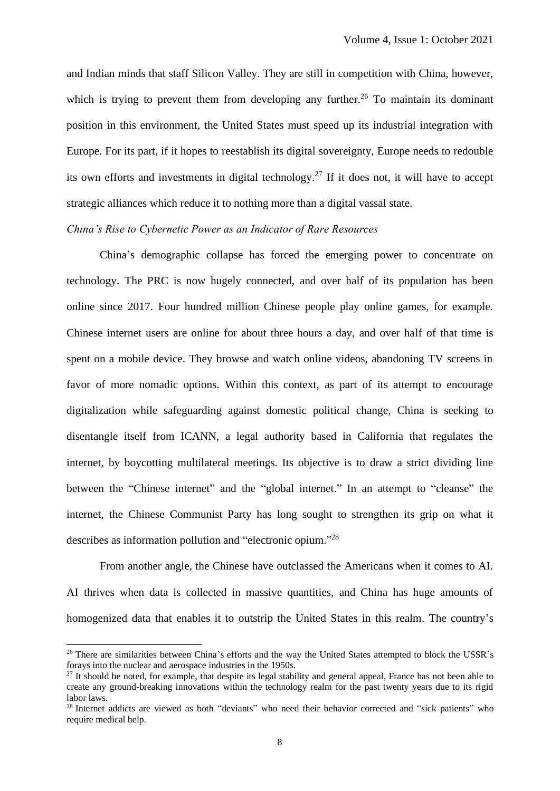and Indian minds that staff Silicon Valley. They are still in competition with China, however, which is trying to prevent them from developing any further.<sup>26</sup> To maintain its dominant position in this environment, the United States must speed up its industrial integration with Europe. For its part, if it hopes to reestablish its digital sovereignty, Europe needs to redouble its own efforts and investments in digital technology.<sup>27</sup> If it does not, it will have to accept strategic alliances which reduce it to nothing more than a digital vassal state.

# *China's Rise to Cybernetic Power as an Indicator of Rare Resources*

China's demographic collapse has forced the emerging power to concentrate on technology. The PRC is now hugely connected, and over half of its population has been online since 2017. Four hundred million Chinese people play online games, for example. Chinese internet users are online for about three hours a day, and over half of that time is spent on a mobile device. They browse and watch online videos, abandoning TV screens in favor of more nomadic options. Within this context, as part of its attempt to encourage digitalization while safeguarding against domestic political change, China is seeking to disentangle itself from ICANN, a legal authority based in California that regulates the internet, by boycotting multilateral meetings. Its objective is to draw a strict dividing line between the "Chinese internet" and the "global internet." In an attempt to "cleanse" the internet, the Chinese Communist Party has long sought to strengthen its grip on what it describes as information pollution and "electronic opium."<sup>28</sup>

From another angle, the Chinese have outclassed the Americans when it comes to AI. AI thrives when data is collected in massive quantities, and China has huge amounts of homogenized data that enables it to outstrip the United States in this realm. The country's

<sup>&</sup>lt;sup>26</sup> There are similarities between China's efforts and the way the United States attempted to block the USSR's forays into the nuclear and aerospace industries in the 1950s.

 $27$  It should be noted, for example, that despite its legal stability and general appeal, France has not been able to create any ground-breaking innovations within the technology realm for the past twenty years due to its rigid labor laws.

<sup>&</sup>lt;sup>28</sup> Internet addicts are viewed as both "deviants" who need their behavior corrected and "sick patients" who require medical help.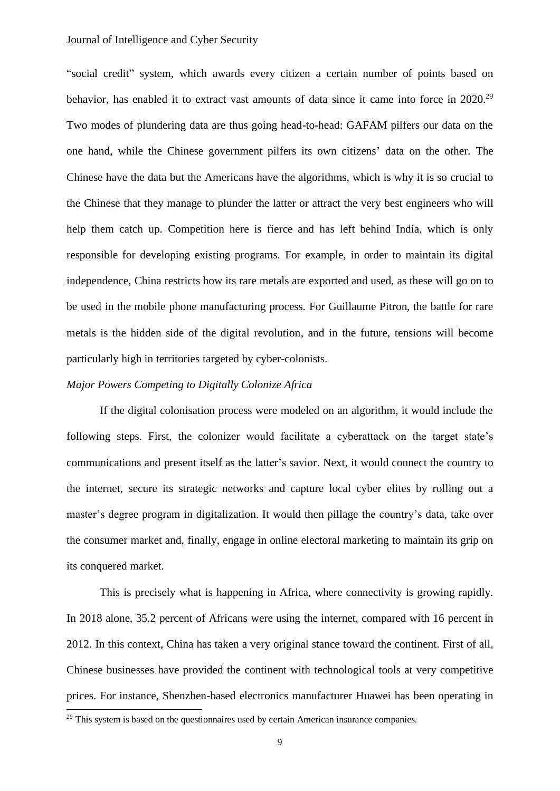"social credit" system, which awards every citizen a certain number of points based on behavior, has enabled it to extract vast amounts of data since it came into force in 2020.<sup>29</sup> Two modes of plundering data are thus going head-to-head: GAFAM pilfers our data on the one hand, while the Chinese government pilfers its own citizens' data on the other. The Chinese have the data but the Americans have the algorithms, which is why it is so crucial to the Chinese that they manage to plunder the latter or attract the very best engineers who will help them catch up. Competition here is fierce and has left behind India, which is only responsible for developing existing programs. For example, in order to maintain its digital independence, China restricts how its rare metals are exported and used, as these will go on to be used in the mobile phone manufacturing process. For Guillaume Pitron, the battle for rare metals is the hidden side of the digital revolution, and in the future, tensions will become particularly high in territories targeted by cyber-colonists.

#### *Major Powers Competing to Digitally Colonize Africa*

If the digital colonisation process were modeled on an algorithm, it would include the following steps. First, the colonizer would facilitate a cyberattack on the target state's communications and present itself as the latter's savior. Next, it would connect the country to the internet, secure its strategic networks and capture local cyber elites by rolling out a master's degree program in digitalization. It would then pillage the country's data, take over the consumer market and, finally, engage in online electoral marketing to maintain its grip on its conquered market.

This is precisely what is happening in Africa, where connectivity is growing rapidly. In 2018 alone, 35.2 percent of Africans were using the internet, compared with 16 percent in 2012. In this context, China has taken a very original stance toward the continent. First of all, Chinese businesses have provided the continent with technological tools at very competitive prices. For instance, Shenzhen-based electronics manufacturer Huawei has been operating in

<sup>&</sup>lt;sup>29</sup> This system is based on the questionnaires used by certain American insurance companies.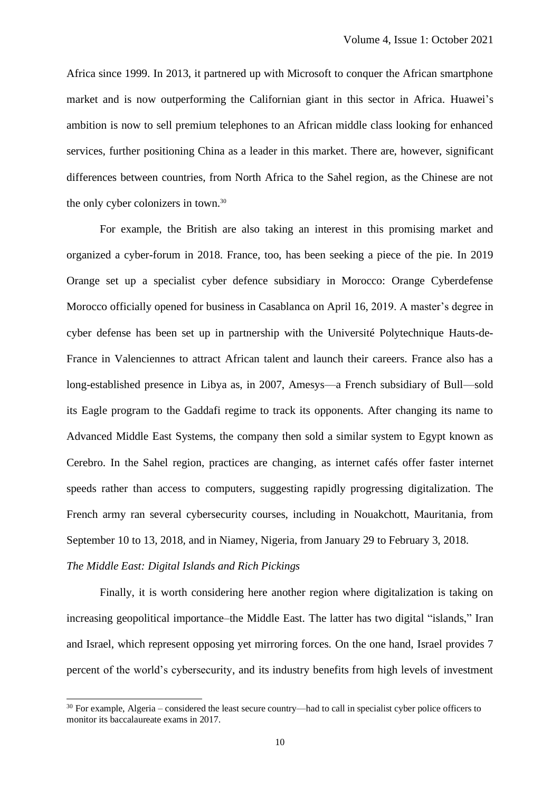Africa since 1999. In 2013, it partnered up with Microsoft to conquer the African smartphone market and is now outperforming the Californian giant in this sector in Africa. Huawei's ambition is now to sell premium telephones to an African middle class looking for enhanced services, further positioning China as a leader in this market. There are, however, significant differences between countries, from North Africa to the Sahel region, as the Chinese are not the only cyber colonizers in town. 30

For example, the British are also taking an interest in this promising market and organized a cyber-forum in 2018. France, too, has been seeking a piece of the pie. In 2019 Orange set up a specialist cyber defence subsidiary in Morocco: Orange Cyberdefense Morocco officially opened for business in Casablanca on April 16, 2019. A master's degree in cyber defense has been set up in partnership with the Université Polytechnique Hauts-de-France in Valenciennes to attract African talent and launch their careers. France also has a long-established presence in Libya as, in 2007, Amesys—a French subsidiary of Bull—sold its Eagle program to the Gaddafi regime to track its opponents. After changing its name to Advanced Middle East Systems, the company then sold a similar system to Egypt known as Cerebro. In the Sahel region, practices are changing, as internet cafés offer faster internet speeds rather than access to computers, suggesting rapidly progressing digitalization. The French army ran several cybersecurity courses, including in Nouakchott, Mauritania, from September 10 to 13, 2018, and in Niamey, Nigeria, from January 29 to February 3, 2018. *The Middle East: Digital Islands and Rich Pickings*

Finally, it is worth considering here another region where digitalization is taking on increasing geopolitical importance–the Middle East. The latter has two digital "islands," Iran and Israel, which represent opposing yet mirroring forces. On the one hand, Israel provides 7 percent of the world's cybersecurity, and its industry benefits from high levels of investment

<sup>&</sup>lt;sup>30</sup> For example, Algeria – considered the least secure country—had to call in specialist cyber police officers to monitor its baccalaureate exams in 2017.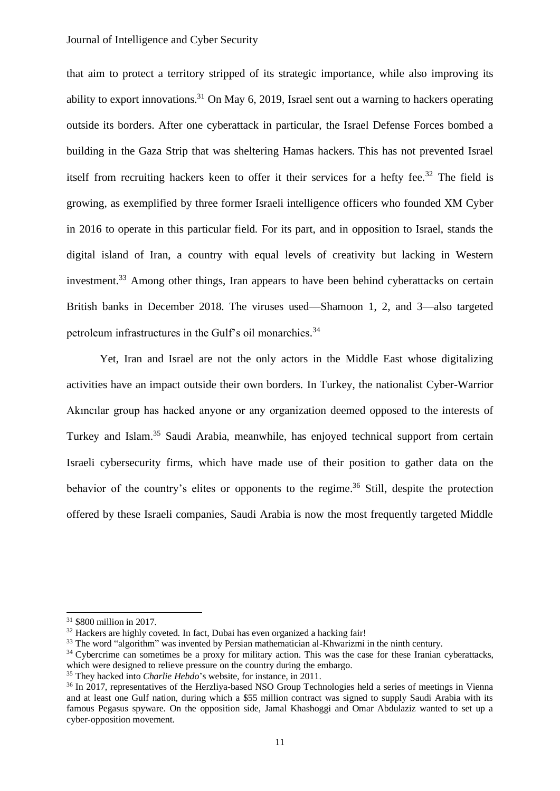that aim to protect a territory stripped of its strategic importance, while also improving its ability to export innovations.<sup>31</sup> On May 6, 2019, Israel sent out a warning to hackers operating outside its borders. After one cyberattack in particular, the Israel Defense Forces bombed a building in the Gaza Strip that was sheltering Hamas hackers. This has not prevented Israel itself from recruiting hackers keen to offer it their services for a hefty fee.<sup>32</sup> The field is growing, as exemplified by three former Israeli intelligence officers who founded XM Cyber in 2016 to operate in this particular field. For its part, and in opposition to Israel, stands the digital island of Iran, a country with equal levels of creativity but lacking in Western investment.<sup>33</sup> Among other things, Iran appears to have been behind cyberattacks on certain British banks in December 2018. The viruses used—Shamoon 1, 2, and 3—also targeted petroleum infrastructures in the Gulf's oil monarchies.<sup>34</sup>

Yet, Iran and Israel are not the only actors in the Middle East whose digitalizing activities have an impact outside their own borders. In Turkey, the nationalist Cyber-Warrior Akıncılar group has hacked anyone or any organization deemed opposed to the interests of Turkey and Islam.<sup>35</sup> Saudi Arabia, meanwhile, has enjoyed technical support from certain Israeli cybersecurity firms, which have made use of their position to gather data on the behavior of the country's elites or opponents to the regime.<sup>36</sup> Still, despite the protection offered by these Israeli companies, Saudi Arabia is now the most frequently targeted Middle

<sup>31</sup> \$800 million in 2017.

 $32$  Hackers are highly coveted. In fact, Dubai has even organized a hacking fair!

<sup>&</sup>lt;sup>33</sup> The word "algorithm" was invented by Persian mathematician al-Khwarizmi in the ninth century.

<sup>&</sup>lt;sup>34</sup> Cybercrime can sometimes be a proxy for military action. This was the case for these Iranian cyberattacks, which were designed to relieve pressure on the country during the embargo.

<sup>&</sup>lt;sup>35</sup> They hacked into *Charlie Hebdo*'s website, for instance, in 2011.

<sup>&</sup>lt;sup>36</sup> In 2017, representatives of the Herzliya-based NSO Group Technologies held a series of meetings in Vienna and at least one Gulf nation, during which a \$55 million contract was signed to supply Saudi Arabia with its famous Pegasus spyware. On the opposition side, Jamal Khashoggi and Omar Abdulaziz wanted to set up a cyber-opposition movement.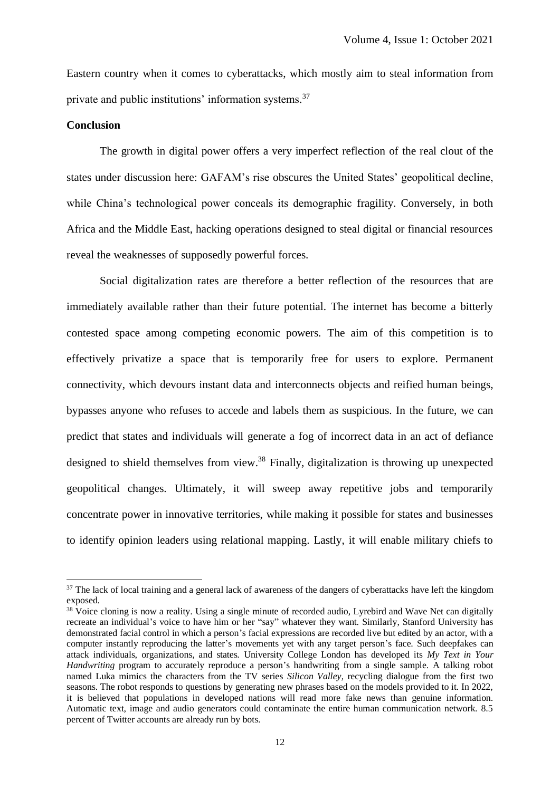Eastern country when it comes to cyberattacks, which mostly aim to steal information from private and public institutions' information systems.<sup>37</sup>

#### **Conclusion**

The growth in digital power offers a very imperfect reflection of the real clout of the states under discussion here: GAFAM's rise obscures the United States' geopolitical decline, while China's technological power conceals its demographic fragility. Conversely, in both Africa and the Middle East, hacking operations designed to steal digital or financial resources reveal the weaknesses of supposedly powerful forces.

Social digitalization rates are therefore a better reflection of the resources that are immediately available rather than their future potential. The internet has become a bitterly contested space among competing economic powers. The aim of this competition is to effectively privatize a space that is temporarily free for users to explore. Permanent connectivity, which devours instant data and interconnects objects and reified human beings, bypasses anyone who refuses to accede and labels them as suspicious. In the future, we can predict that states and individuals will generate a fog of incorrect data in an act of defiance designed to shield themselves from view.<sup>38</sup> Finally, digitalization is throwing up unexpected geopolitical changes. Ultimately, it will sweep away repetitive jobs and temporarily concentrate power in innovative territories, while making it possible for states and businesses to identify opinion leaders using relational mapping. Lastly, it will enable military chiefs to

 $37$  The lack of local training and a general lack of awareness of the dangers of cyberattacks have left the kingdom exposed.

<sup>&</sup>lt;sup>38</sup> Voice cloning is now a reality. Using a single minute of recorded audio, Lyrebird and Wave Net can digitally recreate an individual's voice to have him or her "say" whatever they want. Similarly, Stanford University has demonstrated facial control in which a person's facial expressions are recorded live but edited by an actor, with a computer instantly reproducing the latter's movements yet with any target person's face. Such deepfakes can attack individuals, organizations, and states. University College London has developed its *My Text in Your Handwriting* program to accurately reproduce a person's handwriting from a single sample. A talking robot named Luka mimics the characters from the TV series *Silicon Valley*, recycling dialogue from the first two seasons. The robot responds to questions by generating new phrases based on the models provided to it. In 2022, it is believed that populations in developed nations will read more fake news than genuine information. Automatic text, image and audio generators could contaminate the entire human communication network. 8.5 percent of Twitter accounts are already run by bots.